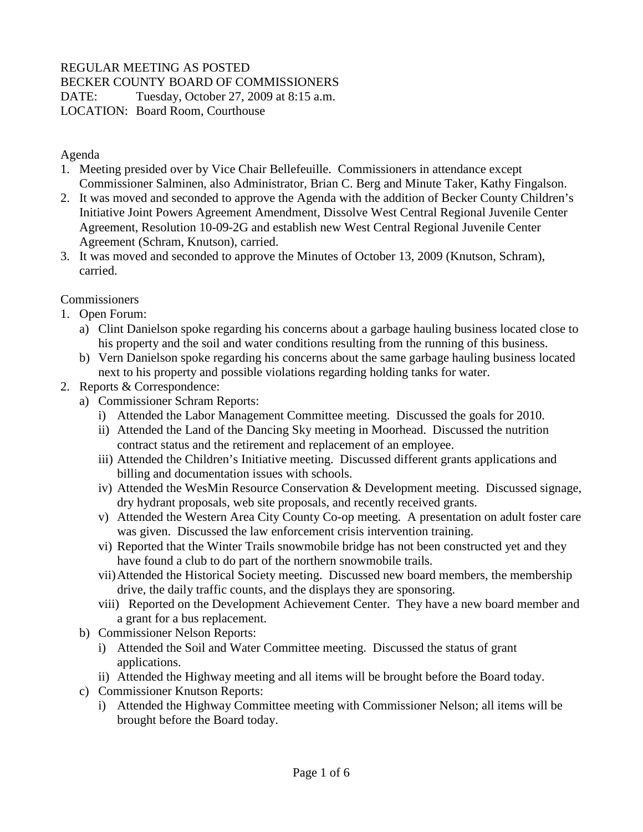# REGULAR MEETING AS POSTED

BECKER COUNTY BOARD OF COMMISSIONERS

DATE: Tuesday, October 27, 2009 at 8:15 a.m.

LOCATION: Board Room, Courthouse

### Agenda

- 1. Meeting presided over by Vice Chair Bellefeuille. Commissioners in attendance except Commissioner Salminen, also Administrator, Brian C. Berg and Minute Taker, Kathy Fingalson.
- 2. It was moved and seconded to approve the Agenda with the addition of Becker County Children's Initiative Joint Powers Agreement Amendment, Dissolve West Central Regional Juvenile Center Agreement, Resolution 10-09-2G and establish new West Central Regional Juvenile Center Agreement (Schram, Knutson), carried.
- 3. It was moved and seconded to approve the Minutes of October 13, 2009 (Knutson, Schram), carried.

**Commissioners** 

- 1. Open Forum:
	- a) Clint Danielson spoke regarding his concerns about a garbage hauling business located close to his property and the soil and water conditions resulting from the running of this business.
	- b) Vern Danielson spoke regarding his concerns about the same garbage hauling business located next to his property and possible violations regarding holding tanks for water.
- 2. Reports & Correspondence:
	- a) Commissioner Schram Reports:
		- i) Attended the Labor Management Committee meeting. Discussed the goals for 2010.
		- ii) Attended the Land of the Dancing Sky meeting in Moorhead. Discussed the nutrition contract status and the retirement and replacement of an employee.
		- iii) Attended the Children's Initiative meeting. Discussed different grants applications and billing and documentation issues with schools.
		- iv) Attended the WesMin Resource Conservation & Development meeting. Discussed signage, dry hydrant proposals, web site proposals, and recently received grants.
		- v) Attended the Western Area City County Co-op meeting. A presentation on adult foster care was given. Discussed the law enforcement crisis intervention training.
		- vi) Reported that the Winter Trails snowmobile bridge has not been constructed yet and they have found a club to do part of the northern snowmobile trails.
		- vii)Attended the Historical Society meeting. Discussed new board members, the membership drive, the daily traffic counts, and the displays they are sponsoring.
		- viii) Reported on the Development Achievement Center. They have a new board member and a grant for a bus replacement.
	- b) Commissioner Nelson Reports:
		- i) Attended the Soil and Water Committee meeting. Discussed the status of grant applications.
		- ii) Attended the Highway meeting and all items will be brought before the Board today.
	- c) Commissioner Knutson Reports:
		- i) Attended the Highway Committee meeting with Commissioner Nelson; all items will be brought before the Board today.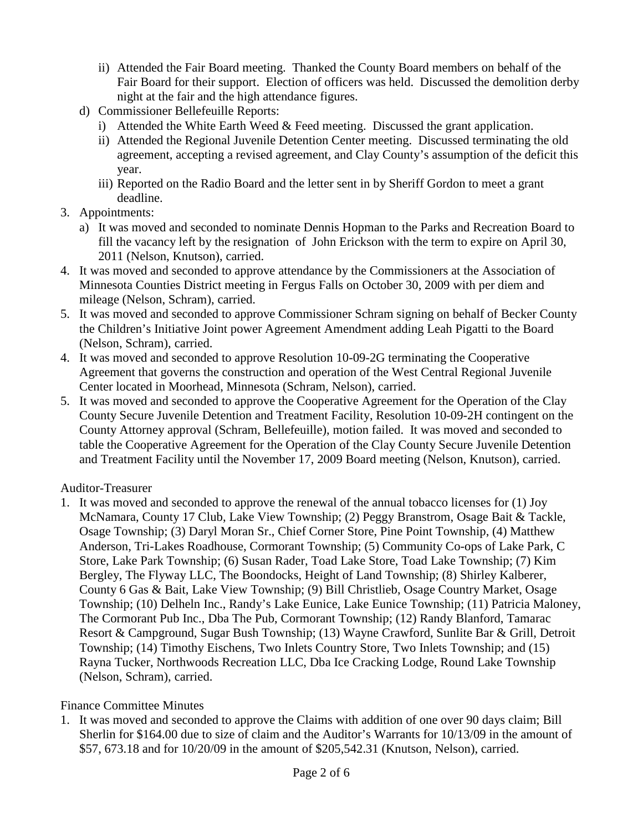- ii) Attended the Fair Board meeting. Thanked the County Board members on behalf of the Fair Board for their support. Election of officers was held. Discussed the demolition derby night at the fair and the high attendance figures.
- d) Commissioner Bellefeuille Reports:
	- i) Attended the White Earth Weed & Feed meeting. Discussed the grant application.
	- ii) Attended the Regional Juvenile Detention Center meeting. Discussed terminating the old agreement, accepting a revised agreement, and Clay County's assumption of the deficit this year.
	- iii) Reported on the Radio Board and the letter sent in by Sheriff Gordon to meet a grant deadline.
- 3. Appointments:
	- a) It was moved and seconded to nominate Dennis Hopman to the Parks and Recreation Board to fill the vacancy left by the resignation of John Erickson with the term to expire on April 30, 2011 (Nelson, Knutson), carried.
- 4. It was moved and seconded to approve attendance by the Commissioners at the Association of Minnesota Counties District meeting in Fergus Falls on October 30, 2009 with per diem and mileage (Nelson, Schram), carried.
- 5. It was moved and seconded to approve Commissioner Schram signing on behalf of Becker County the Children's Initiative Joint power Agreement Amendment adding Leah Pigatti to the Board (Nelson, Schram), carried.
- 4. It was moved and seconded to approve Resolution 10-09-2G terminating the Cooperative Agreement that governs the construction and operation of the West Central Regional Juvenile Center located in Moorhead, Minnesota (Schram, Nelson), carried.
- 5. It was moved and seconded to approve the Cooperative Agreement for the Operation of the Clay County Secure Juvenile Detention and Treatment Facility, Resolution 10-09-2H contingent on the County Attorney approval (Schram, Bellefeuille), motion failed. It was moved and seconded to table the Cooperative Agreement for the Operation of the Clay County Secure Juvenile Detention and Treatment Facility until the November 17, 2009 Board meeting (Nelson, Knutson), carried.

### Auditor-Treasurer

1. It was moved and seconded to approve the renewal of the annual tobacco licenses for (1) Joy McNamara, County 17 Club, Lake View Township; (2) Peggy Branstrom, Osage Bait & Tackle, Osage Township; (3) Daryl Moran Sr., Chief Corner Store, Pine Point Township, (4) Matthew Anderson, Tri-Lakes Roadhouse, Cormorant Township; (5) Community Co-ops of Lake Park, C Store, Lake Park Township; (6) Susan Rader, Toad Lake Store, Toad Lake Township; (7) Kim Bergley, The Flyway LLC, The Boondocks, Height of Land Township; (8) Shirley Kalberer, County 6 Gas & Bait, Lake View Township; (9) Bill Christlieb, Osage Country Market, Osage Township; (10) Delheln Inc., Randy's Lake Eunice, Lake Eunice Township; (11) Patricia Maloney, The Cormorant Pub Inc., Dba The Pub, Cormorant Township; (12) Randy Blanford, Tamarac Resort & Campground, Sugar Bush Township; (13) Wayne Crawford, Sunlite Bar & Grill, Detroit Township; (14) Timothy Eischens, Two Inlets Country Store, Two Inlets Township; and (15) Rayna Tucker, Northwoods Recreation LLC, Dba Ice Cracking Lodge, Round Lake Township (Nelson, Schram), carried.

### Finance Committee Minutes

1. It was moved and seconded to approve the Claims with addition of one over 90 days claim; Bill Sherlin for \$164.00 due to size of claim and the Auditor's Warrants for 10/13/09 in the amount of \$57, 673.18 and for 10/20/09 in the amount of \$205,542.31 (Knutson, Nelson), carried.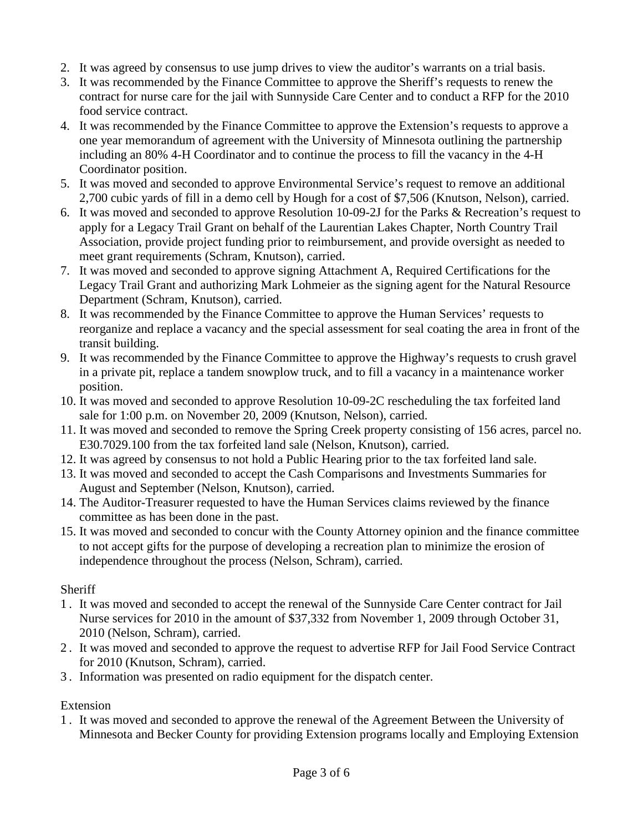- 2. It was agreed by consensus to use jump drives to view the auditor's warrants on a trial basis.
- 3. It was recommended by the Finance Committee to approve the Sheriff's requests to renew the contract for nurse care for the jail with Sunnyside Care Center and to conduct a RFP for the 2010 food service contract.
- 4. It was recommended by the Finance Committee to approve the Extension's requests to approve a one year memorandum of agreement with the University of Minnesota outlining the partnership including an 80% 4-H Coordinator and to continue the process to fill the vacancy in the 4-H Coordinator position.
- 5. It was moved and seconded to approve Environmental Service's request to remove an additional 2,700 cubic yards of fill in a demo cell by Hough for a cost of \$7,506 (Knutson, Nelson), carried.
- 6. It was moved and seconded to approve Resolution 10-09-2J for the Parks & Recreation's request to apply for a Legacy Trail Grant on behalf of the Laurentian Lakes Chapter, North Country Trail Association, provide project funding prior to reimbursement, and provide oversight as needed to meet grant requirements (Schram, Knutson), carried.
- 7. It was moved and seconded to approve signing Attachment A, Required Certifications for the Legacy Trail Grant and authorizing Mark Lohmeier as the signing agent for the Natural Resource Department (Schram, Knutson), carried.
- 8. It was recommended by the Finance Committee to approve the Human Services' requests to reorganize and replace a vacancy and the special assessment for seal coating the area in front of the transit building.
- 9. It was recommended by the Finance Committee to approve the Highway's requests to crush gravel in a private pit, replace a tandem snowplow truck, and to fill a vacancy in a maintenance worker position.
- 10. It was moved and seconded to approve Resolution 10-09-2C rescheduling the tax forfeited land sale for 1:00 p.m. on November 20, 2009 (Knutson, Nelson), carried.
- 11. It was moved and seconded to remove the Spring Creek property consisting of 156 acres, parcel no. E30.7029.100 from the tax forfeited land sale (Nelson, Knutson), carried.
- 12. It was agreed by consensus to not hold a Public Hearing prior to the tax forfeited land sale.
- 13. It was moved and seconded to accept the Cash Comparisons and Investments Summaries for August and September (Nelson, Knutson), carried.
- 14. The Auditor-Treasurer requested to have the Human Services claims reviewed by the finance committee as has been done in the past.
- 15. It was moved and seconded to concur with the County Attorney opinion and the finance committee to not accept gifts for the purpose of developing a recreation plan to minimize the erosion of independence throughout the process (Nelson, Schram), carried.

### **Sheriff**

- 1 . It was moved and seconded to accept the renewal of the Sunnyside Care Center contract for Jail Nurse services for 2010 in the amount of \$37,332 from November 1, 2009 through October 31, 2010 (Nelson, Schram), carried.
- 2 . It was moved and seconded to approve the request to advertise RFP for Jail Food Service Contract for 2010 (Knutson, Schram), carried.
- 3 . Information was presented on radio equipment for the dispatch center.

# Extension

1 . It was moved and seconded to approve the renewal of the Agreement Between the University of Minnesota and Becker County for providing Extension programs locally and Employing Extension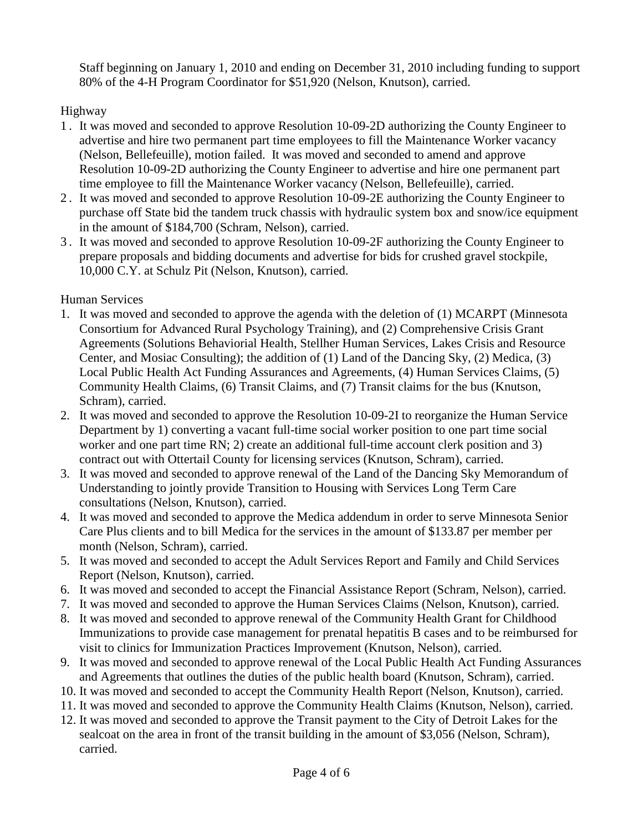Staff beginning on January 1, 2010 and ending on December 31, 2010 including funding to support 80% of the 4-H Program Coordinator for \$51,920 (Nelson, Knutson), carried.

Highway

- 1 . It was moved and seconded to approve Resolution 10-09-2D authorizing the County Engineer to advertise and hire two permanent part time employees to fill the Maintenance Worker vacancy (Nelson, Bellefeuille), motion failed. It was moved and seconded to amend and approve Resolution 10-09-2D authorizing the County Engineer to advertise and hire one permanent part time employee to fill the Maintenance Worker vacancy (Nelson, Bellefeuille), carried.
- 2 . It was moved and seconded to approve Resolution 10-09-2E authorizing the County Engineer to purchase off State bid the tandem truck chassis with hydraulic system box and snow/ice equipment in the amount of \$184,700 (Schram, Nelson), carried.
- 3 . It was moved and seconded to approve Resolution 10-09-2F authorizing the County Engineer to prepare proposals and bidding documents and advertise for bids for crushed gravel stockpile, 10,000 C.Y. at Schulz Pit (Nelson, Knutson), carried.

Human Services

- 1. It was moved and seconded to approve the agenda with the deletion of (1) MCARPT (Minnesota Consortium for Advanced Rural Psychology Training), and (2) Comprehensive Crisis Grant Agreements (Solutions Behaviorial Health, Stellher Human Services, Lakes Crisis and Resource Center, and Mosiac Consulting); the addition of (1) Land of the Dancing Sky, (2) Medica, (3) Local Public Health Act Funding Assurances and Agreements, (4) Human Services Claims, (5) Community Health Claims, (6) Transit Claims, and (7) Transit claims for the bus (Knutson, Schram), carried.
- 2. It was moved and seconded to approve the Resolution 10-09-2I to reorganize the Human Service Department by 1) converting a vacant full-time social worker position to one part time social worker and one part time RN; 2) create an additional full-time account clerk position and 3) contract out with Ottertail County for licensing services (Knutson, Schram), carried.
- 3. It was moved and seconded to approve renewal of the Land of the Dancing Sky Memorandum of Understanding to jointly provide Transition to Housing with Services Long Term Care consultations (Nelson, Knutson), carried.
- 4. It was moved and seconded to approve the Medica addendum in order to serve Minnesota Senior Care Plus clients and to bill Medica for the services in the amount of \$133.87 per member per month (Nelson, Schram), carried.
- 5. It was moved and seconded to accept the Adult Services Report and Family and Child Services Report (Nelson, Knutson), carried.
- 6. It was moved and seconded to accept the Financial Assistance Report (Schram, Nelson), carried.
- 7. It was moved and seconded to approve the Human Services Claims (Nelson, Knutson), carried.
- 8. It was moved and seconded to approve renewal of the Community Health Grant for Childhood Immunizations to provide case management for prenatal hepatitis B cases and to be reimbursed for visit to clinics for Immunization Practices Improvement (Knutson, Nelson), carried.
- 9. It was moved and seconded to approve renewal of the Local Public Health Act Funding Assurances and Agreements that outlines the duties of the public health board (Knutson, Schram), carried.
- 10. It was moved and seconded to accept the Community Health Report (Nelson, Knutson), carried.
- 11. It was moved and seconded to approve the Community Health Claims (Knutson, Nelson), carried.
- 12. It was moved and seconded to approve the Transit payment to the City of Detroit Lakes for the sealcoat on the area in front of the transit building in the amount of \$3,056 (Nelson, Schram), carried.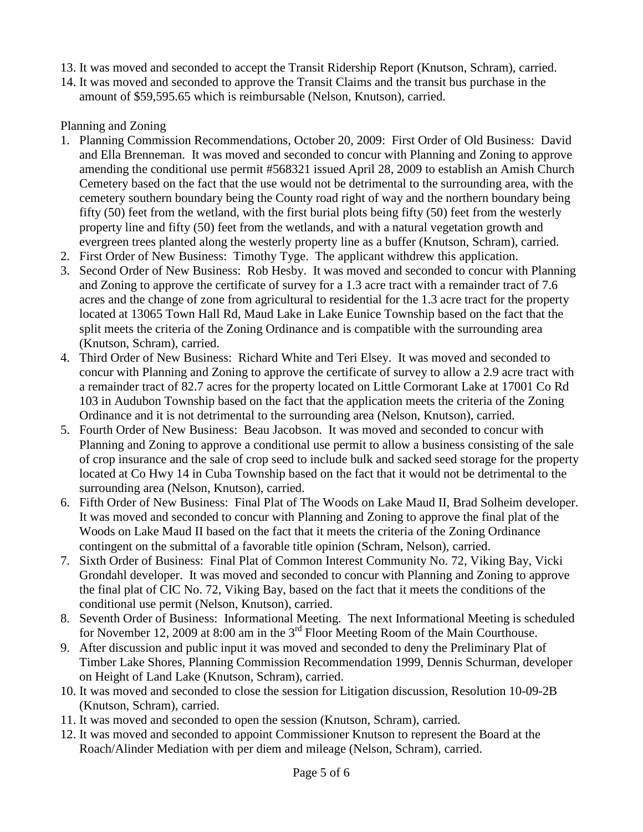- 13. It was moved and seconded to accept the Transit Ridership Report (Knutson, Schram), carried.
- 14. It was moved and seconded to approve the Transit Claims and the transit bus purchase in the amount of \$59,595.65 which is reimbursable (Nelson, Knutson), carried.

#### Planning and Zoning

- 1. Planning Commission Recommendations, October 20, 2009: First Order of Old Business: David and Ella Brenneman. It was moved and seconded to concur with Planning and Zoning to approve amending the conditional use permit #568321 issued April 28, 2009 to establish an Amish Church Cemetery based on the fact that the use would not be detrimental to the surrounding area, with the cemetery southern boundary being the County road right of way and the northern boundary being fifty (50) feet from the wetland, with the first burial plots being fifty (50) feet from the westerly property line and fifty (50) feet from the wetlands, and with a natural vegetation growth and evergreen trees planted along the westerly property line as a buffer (Knutson, Schram), carried.
- 2. First Order of New Business: Timothy Tyge. The applicant withdrew this application.
- 3. Second Order of New Business: Rob Hesby. It was moved and seconded to concur with Planning and Zoning to approve the certificate of survey for a 1.3 acre tract with a remainder tract of 7.6 acres and the change of zone from agricultural to residential for the 1.3 acre tract for the property located at 13065 Town Hall Rd, Maud Lake in Lake Eunice Township based on the fact that the split meets the criteria of the Zoning Ordinance and is compatible with the surrounding area (Knutson, Schram), carried.
- 4. Third Order of New Business: Richard White and Teri Elsey. It was moved and seconded to concur with Planning and Zoning to approve the certificate of survey to allow a 2.9 acre tract with a remainder tract of 82.7 acres for the property located on Little Cormorant Lake at 17001 Co Rd 103 in Audubon Township based on the fact that the application meets the criteria of the Zoning Ordinance and it is not detrimental to the surrounding area (Nelson, Knutson), carried.
- 5. Fourth Order of New Business: Beau Jacobson. It was moved and seconded to concur with Planning and Zoning to approve a conditional use permit to allow a business consisting of the sale of crop insurance and the sale of crop seed to include bulk and sacked seed storage for the property located at Co Hwy 14 in Cuba Township based on the fact that it would not be detrimental to the surrounding area (Nelson, Knutson), carried.
- 6. Fifth Order of New Business: Final Plat of The Woods on Lake Maud II, Brad Solheim developer. It was moved and seconded to concur with Planning and Zoning to approve the final plat of the Woods on Lake Maud II based on the fact that it meets the criteria of the Zoning Ordinance contingent on the submittal of a favorable title opinion (Schram, Nelson), carried.
- 7. Sixth Order of Business: Final Plat of Common Interest Community No. 72, Viking Bay, Vicki Grondahl developer. It was moved and seconded to concur with Planning and Zoning to approve the final plat of CIC No. 72, Viking Bay, based on the fact that it meets the conditions of the conditional use permit (Nelson, Knutson), carried.
- 8. Seventh Order of Business: Informational Meeting. The next Informational Meeting is scheduled for November 12, 2009 at 8:00 am in the  $3<sup>rd</sup>$  Floor Meeting Room of the Main Courthouse.
- 9. After discussion and public input it was moved and seconded to deny the Preliminary Plat of Timber Lake Shores, Planning Commission Recommendation 1999, Dennis Schurman, developer on Height of Land Lake (Knutson, Schram), carried.
- 10. It was moved and seconded to close the session for Litigation discussion, Resolution 10-09-2B (Knutson, Schram), carried.
- 11. It was moved and seconded to open the session (Knutson, Schram), carried.
- 12. It was moved and seconded to appoint Commissioner Knutson to represent the Board at the Roach/Alinder Mediation with per diem and mileage (Nelson, Schram), carried.